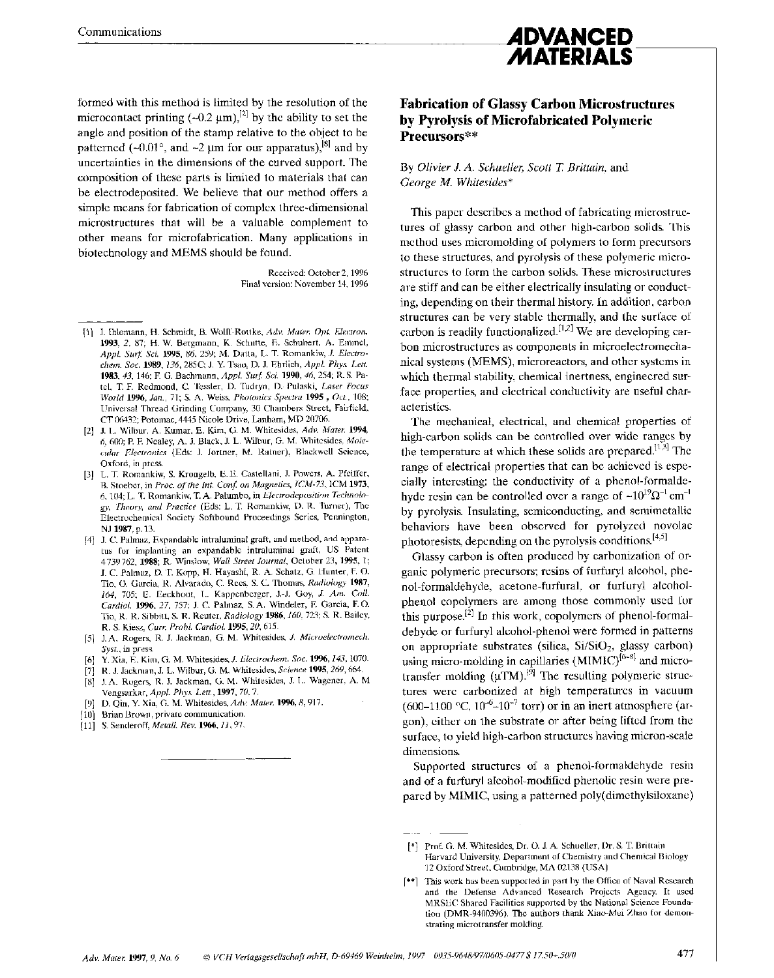formed with this method is limited by the resolution of the microcontact printing  $(-0.2 \mu m)^{2}$  by the ability to set the angle and position of the stamp relative to the object to be patterned (-0.01°, and -2  $\mu$ m for our apparatus),<sup>[8]</sup> and by uncertainties in the dimensions of the curved support. The composition of these parts is limited to materials that can be electrodeposited. We believe that our method offers a simple means for fabrication of complex three-dimensional microstructures that will be a valuable complement to other means for microfabrication. Many applications in biotechnology and MEMS should be found.

> Received: October 2, 1996 Final version: November 14,1996

- [I] J. Ihlemann, H. Schmidt, B. Wolff-Rottke, *Adv. Mater. Opt. Electron.*  1993, *2,* 87; H. W. Bergmann, K. Schutte, E. Schubert, A. Emmel, *Appl. Surf Sci.* 1995, *86,* 259; **M.** Datta, L. T. Romankiw, *J. Electrochem. Soc.* 1989, *136,285'2;* J. Y. Tsao, D. J. Ebrlich, *Appl. Phys. Lett.*  1983, *43,* 146; F. G. Bachmann, *Appl. Surf Sci.* 1990,46,254; R. **S.** Patel, T. F. Redmond, C. Tessler, D. Tudryn, D. Pulaski, *Laser Focus World* 1996, *Jan.,* 71; **S. A.** Weiss, *Photonics Spectra* <sup>1995</sup>, *Oct..* 108; Universal Thread Grinding Company, 30 Chambers Street, Fairfield, **CT** 06432; Potomac, 4445 Nicole Drive, Lanham, MD 20706.
- [2] J. L. Wilbur, A. Kumar, E. Kim, G. M. Whitesides, *Adv. Mater.* 1994, *6,* 600; **P.** E Nealey, A. J. Black, **J.** L. Wilbur, G. M. Whitesides, *Molecular Electronics* (Eds: J. Jortner, M. Ratner), Blackwell Science, Oxford, in press
- (31 L. T. Romankiw, **S.** Krongelb, E. E. Castellani, J. Powers, A. Pfeiffer, B. Stoeber, in *Proc.* of *the Int. Conf on Magnetics, ICM-73,* ICM 1973, 6,104; **L. T.** Romankiw, T. **A.** Palumbo, **in** *Electrodeposition Technology, Theory, and Practice* (Eds: L. T. Romankiw, D. R. Turner), The Electrochemical Society Softbound Proceedings Series, Pennington, NJ 1987, p. **13.**
- [4] J. **C.** Palmaz, Expandable intraluminal graft, and method, and apparatus for implanting an expandable intraluminal graft, **US** Patent 4 739 762, 1988; K. Winslow, *Wall Street .Journal,* October 23, 1995, 1; J. C. Palmaz, D. T. Kopp, H. Hayashi, R. **A.** Schatz, G. Hunter, F. 0. Tio, 0. Garcia, R. Alvarado, *C.* Rees, **S.** C. Thomas, *Radiology* 1987, 164, *705;* E. Eeckhout, **L.** Kappenberger, J.-J. Goy, *J. Am. Coll. Cardiol.* 1996, *27,* 757; J. C. Palmaz, S.A. Windeler, E Garcia, **F.** 0. Tio, R. R. Sibbitt, **S.** R. Reuter, *Radiology* 1986,160,723; **S.** R. Bailey, R. **S.** Kiesz, *Curr. Probl. Cardiol.* 1995,20,615.
- [S] J.A. Rogers, R. J. Jackman, G. **M.** Whitesides, *J. Microelrctromech. Syst.,* in press.
- [6] Y. Xia, E. Kim, G. M. Whitesides, *J. Electrochem.* Soc. 1996,143,1070.
- [7] R. J. Jackman, J. L. Wilbur, G. M. Whitesides. *Science* 1995,269,664.
- [XI J.A. Rogers, R. J. Jackman, G. M. Whitesides, J. L. Wagener, **A.** M Vengsarkar, *Appl. Phys. Lett.,* 1997,70,7.
- [9] D. Qin, Y. Xia, G. M. Whitesides, *Adv. Mater.* 1996,8,917.
- [10] Brian Brown, private communication.
- [11] S. Senderoff, *Metall. Rev.* **1966**, *11*, 97.

### **Fabrication of Glassy Carbon Microstructures by Pyrolysis of Microfabricated Polymeric Precursors\*\***

**ADVANCED MATERIALS** 

#### By *Olivier J. A. Schueller, Scott* **7:** *Brittain,* and *George M. Whitesides\**

This paper describes a method of fabricating microstructures of glassy carbon and other high-carbon solids. This method uses micromolding of polymers to form precursors to these structures, and pyrolysis of these polymeric microstructures to form the carbon solids. These microstructures are stiff and can be either electrically insulating or conducting, depending on their thermal history. In addition, carbon structures can be very stable thermally, and the surface of carbon is readily functionalized.<sup>[1,2]</sup> We are developing carbon microstructures as components in microelectromechanical systems (MEMS), microreactors, and other systems in which thermal stability, chemical inertness, engineered surface properties, and electrical conductivity are useful characteristics.

The mechanical, electrical, and chemical properties of high-carbon solids can be controlled over wide ranges by the temperature at which these solids are prepared.<sup>[1,3]</sup> The range of electrical properties that can be achieved is especially interesting: the conductivity of a phenol-formaldehyde resin can be controlled over a range of  $-10^{19} \Omega^{-1}$  cm<sup>-1</sup> by pyrolysis. Insulating, semiconducting, and semimetallic behaviors have been observed for pyrolyzed novolac photoresists, depending on the pyrolysis conditions.<sup>[4,5]</sup>

Glassy carbon is often produced by carbonization of organic polymeric precursors; resins of furfuryl alcohol, phenol-formaldehyde, acetone-furfural, or furfuryl alcoholphenol copolymers are among those commonly used for this purpose.<sup>[2]</sup> In this work, copolymers of phenol-formaldehyde or furfuryl alcohol-phenol were formed in patterns on appropriate substrates (silica, Si/SiO<sub>2</sub>, glassy carbon) using micro-molding in capillaries (MIMIC)<sup>[6-8]</sup> and microtransfer molding  $(\mu TM)$ .<sup>[9]</sup> The resulting polymeric structures were carbonized at high temperatures in vacuum (600-1100 °C,  $10^{-6}$ -10<sup>-7</sup> torr) or in an inert atmosphere (argon), either on the substrate or after being lifted from the surface, to yield high-carbon structures having micron-scale dimensions.

Supported structures of a phenol-formaldehyde resin and of a furfuryl alcohol-modified phenolic resin were prepared by MIMIC, using a patterned poly(dimethylsiloxane)

<sup>[\*]</sup> Prof. G. **M.** Whitesides, Dr. 0. J. A. Schueller, Dr. **S.** T. Brittain Harvard University, Department of Chemistry and Chemical Biology 12 Oxford Street, Cambridge, MA 02138 (USA)

<sup>[\*\*</sup>I This work has been supported in part by the Office of Naval Research and the Defense Advanced Research Projects Agency. It used MRSEC Shared Facilities supported by the National Science Foundation (DMR-9400396). The authors thank Xiao-Mei Zhao for demonstrating microtransfer molding.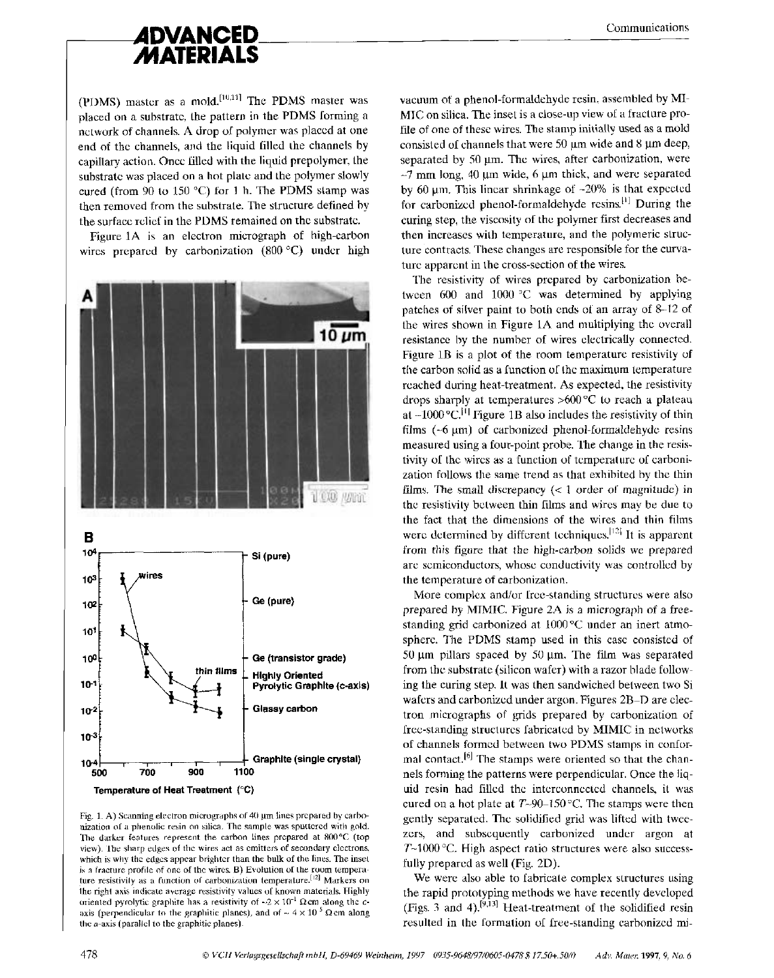

(PDMS) master as a mold.<sup>[10,11]</sup> The PDMS master was placed on a substrate, the pattern in the PDMS forming a network of channels. **A** drop of polymer was placed at one end of the channels, and the liquid filled the channels by capillary action. Once filled with the liquid prepolymer, the substrate was placed on a hot plate and the polymer slowly cured (from 90 to 150 "C) for 1 h. The PDMS stamp was then removed from the substrate. The structure defined by the surface relief in the PDMS remained on the substrate.

Figure 1A is an electron micrograph of high-carbon wires prepared by carbonization (800 °C) under high



Fig. 1. A) Scanning electron micrographs of 40 um lines prepared by carbonization of a phenolic resin on silica. The sample was sputtered with gold. The darker features represent the carbon lines prepared at 800°C (top view). The sharp edges of the wires act as emitters of secondary electrons, which is why the edges appear brighter than the bulk of the lines. The inset **is** a fracture profile of one of the wires. **B)** Evolution of the room temperature resistivity as a function of carbonization temperature.<sup>[12]</sup> Markers on the right axis indicate average resistivity values of known materials. Highly oriented pyrolytic graphite has a resistivity of  $-2 \times 10^{-1} \Omega$  cm along the *c*axis (perpendicular to the graphitic planes), and of  $\sim 4 \times 10^{-5}$   $\Omega$  cm along the a-axis (parallel to the graphitic planes).

vacuum of a phenol-formaldehyde resin, assembled by MI-MIC on silica. The inset is a close-up view of a fracture profile of one of these wires. The stamp initially used as a mold consisted of channels that were 50  $\mu$ m wide and 8  $\mu$ m deep, separated by  $50 \mu m$ . The wires, after carbonization, were  $\sim$ 7 mm long, 40  $\mu$ m wide, 6  $\mu$ m thick, and were separated by 60  $\mu$ m. This linear shrinkage of  $-20\%$  is that expected for carbonized phenol-formaldehyde resins.<sup>[1]</sup> During the curing step, the viscosity of the polymer first decreases and then increases with temperature, and the polymeric structure contracts. These changes are responsible for the curvature apparent in the cross-section of the wires.

The resistivity of wires prepared by carbonization between 600 and 1000 *"C* was determined by applying patches of silver paint lo both ends of an array of 8-12 of the wires shown in Figure 1A and multiplying the overall resistance by the number of wires electrically connected. Figure 1B is a plot of the room temperature resistivity of the carbon solid as a function of the maximum temperature reached during heat-treatment. **As** expected, the resistivity drops sharply at temperatures >600 "C to reach a plateau at  $-1000$  °C.<sup>[1]</sup> Figure 1B also includes the resistivity of thin films  $(-6 \mu m)$  of carbonized phenol-formaldehyde resins measured using a four-point probe. The change in the resistivity of the wires as a function of temperature of carbonization follows the same trend as that exhibited by the thin films. The small discrepancy  $(< 1$  order of magnitude) in the resistivity between thin films and wires may be due to the fact that the dimensions of the wires and thin films were determined by different techniques.<sup>[12]</sup> It is apparent from this figure that the high-carbon solids we prepared are semiconductors, whose conductivity was controlled by the temperature of carbonization.

More complex and/or free-standing structures were also prepared by MIMIC. Figure 2A is a micrograph of a freestanding grid carbonized at 1000°C under an inert atmosphere. The PDMS stamp used in this case consisted of 50 pm pillars spaced by 50 **pm.** The film was separated from the substrate (silicon wafer) with a razor blade following the curing step. It was then sandwiched between two Si wafers and carbonized under argon. Figures 2B-D are electron micrographs of grids prepared by carbonization of free-standing structures fabricated by MIMIC in networks of channels formed between two PDMS stamps in conformal contact.<sup>[6]</sup> The stamps were oriented so that the channels forming the patterns were perpendicular. Once the liquid resin had filled the interconnected channels, it was cured on a hot plate at T-90-150 *"C.* The stamps were then gently separated. The solidified grid was lifted with tweezers, and subsequently carbonized under argon at  $T<sub>1000</sub>$ °C. High aspect ratio structures were also successfully prepared as well (Fig. 2D).

We were also able to fabricate complex structures using the rapid prototyping methods we have recently developed (Figs. 3 and **4).[93'31** Heat-treatment of the solidified resin resulted in the formation of free-standing carbonized mi-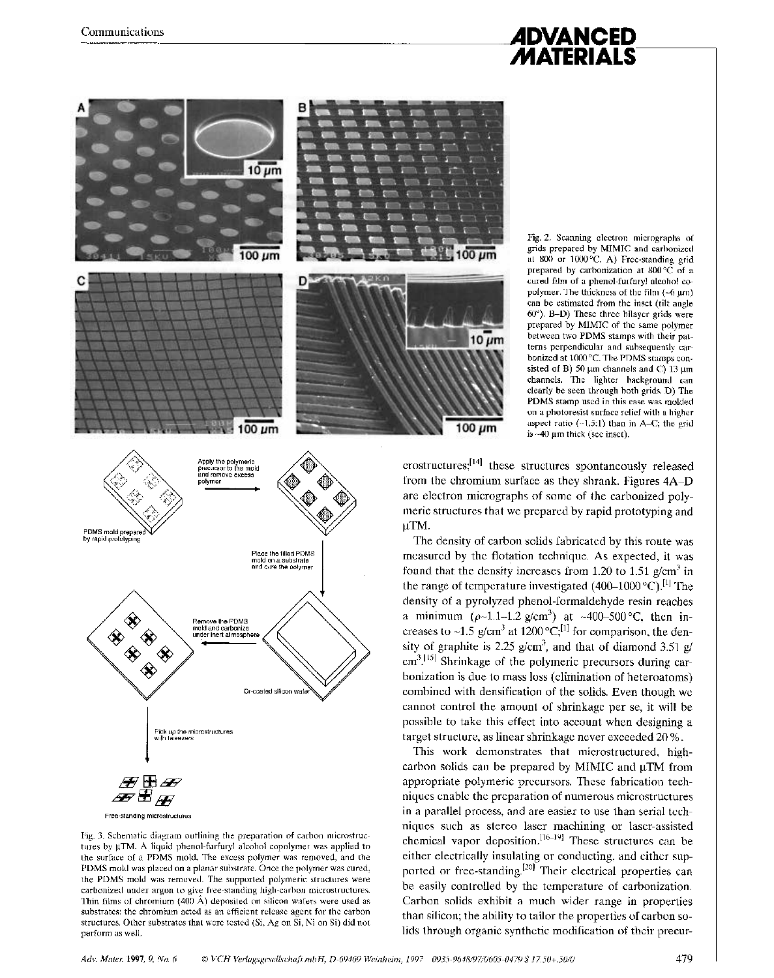# **ADVANCED MATERIALS**



Fig. 2. Scanning electron micrographs of grids prepared by MIMIC and carbonized at *800* or 1000°C. **A)** Free-standing grid prepared by carbonization at 800°C of a cured film of a phenol-furfuryl alcohol copolymer. The thickness of the film  $(-6 \mu m)$ can be estimated from the inset (tilt angle *60").* B-D) These three bilayer grids were prepared by MIMIC of the same polymer between two PDMS stamps with their patterns perpendicular and subsequently carbonized at 1000 "C. The PDMS stamps consisted of B)  $50 \mu m$  channels and C)  $13 \mu m$ channels. The lighter background can clearly be seen through both grids. D) The PDMS stamp used in this case was molded on a photoresist surface relief with a higher aspect ratio (-1.5:l) than in **A-C;** the grid is -40 um thick (see inset).

 $c$ rostructures; $^{[14]}$  these structures spontaneously released from the chromium surface as they shrank. Figures **4A-D**  are electron micrographs of some of the carbonized polymeric structures that we prepared by rapid prototyping and yTM.

The density of carbon solids fabricated by this route was measured by the flotation technique. **As** expected, it was found that the density increases from 1.20 to 1.51 g/cm<sup>3</sup> in the range of temperature investigated  $(400-1000 \degree C)^{[1]}$  The density of a pyrolyzed phenol-formaldehyde resin reaches a minimum  $(\rho-1.1-1.2 \text{ g/cm}^3)$  at  $\sim 400-500 \text{ °C}$ , then increases to ~1.5 g/cm<sup>3</sup> at 1200 °C;<sup>[1]</sup> for comparison, the density of graphite is 2.25 g/cm<sup>3</sup>, and that of diamond 3.51 g/  $cm<sup>3</sup>$ .<sup>[15]</sup> Shrinkage of the polymeric precursors during carbonization is due to mass loss (elimination of heteroatoms) combined with densification of the solids. Even though we cannot control the amount of shrinkage per se, it will be possible to take this effect into account when designing a target structure, as linear shrinkage never exceeded 20 %.

This work demonstrates that microstructured, highcarbon solids can be prepared by MIMIC and  $\mu$ TM from appropriate polymeric precursors. These fabrication techniques enable the preparation of numerous microstructures in a parallel process, and are easier to use than serial techniques such as stereo laser machining or laser-assisted chemical vapor deposition.<sup>[16-19]</sup> These structures can be either electrically insulating or conducting, and either supported or free-standing.<sup>[20]</sup> Their electrical properties can be easily controlled by the temperature of carbonization. Carbon solids exhibit a much wider range in properties than silicon; the ability to tailor the properties of carbon solids through organic synthetic modification of their precur-



Fig. 3. Schematic diagram outlining the preparation of carbon microstructures by pTM. A liquid phenol-furfuryl alcohol copolymer was applied to the surface of a PDMS mold. The excess polymer was removed, and the PDMS mold was placed on a planar substrate. Once the polymer was cured, the PDMS mold was removed. The supported polymeric structures were carbonized under argon to give free-standing high-carbon microstructures. Thin films of chromium (400 A) deposited on silicon wafers were used as substrates: the chromium acted as an efficient release agent for the carbon structures. Other substrates that were tested (Si, Ag on Si, Ni on Si) did not perform as well.